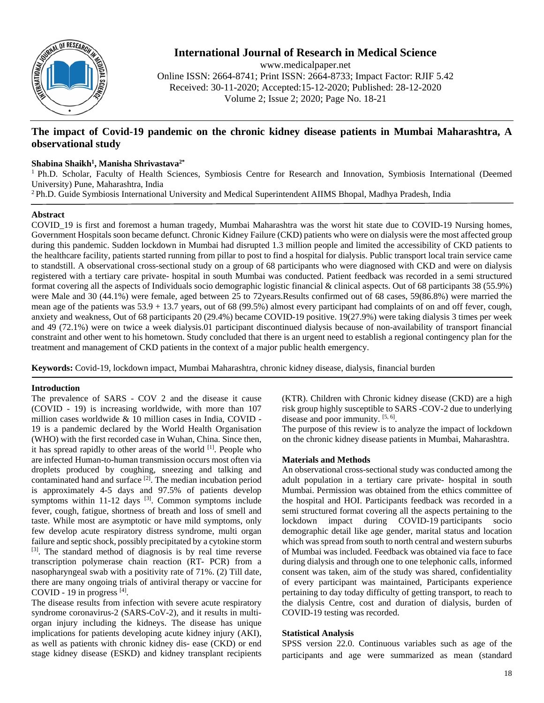

# **International Journal of Research in Medical Science**

www.medicalpaper.net Online ISSN: 2664-8741; Print ISSN: 2664-8733; Impact Factor: RJIF 5.42 Received: 30-11-2020; Accepted:15-12-2020; Published: 28-12-2020 Volume 2; Issue 2; 2020; Page No. 18-21

## **The impact of Covid-19 pandemic on the chronic kidney disease patients in Mumbai Maharashtra, A observational study**

## **Shabina Shaikh1 , Manisha Shrivastava2\***

<sup>1</sup> Ph.D. Scholar, Faculty of Health Sciences, Symbiosis Centre for Research and Innovation, Symbiosis International (Deemed University) Pune, Maharashtra, India

<sup>2</sup> Ph.D. Guide Symbiosis International University and Medical Superintendent AIIMS Bhopal, Madhya Pradesh, India

## **Abstract**

COVID\_19 is first and foremost a human tragedy, Mumbai Maharashtra was the worst hit state due to COVID-19 Nursing homes, Government Hospitals soon became defunct. Chronic Kidney Failure (CKD) patients who were on dialysis were the most affected group during this pandemic. Sudden lockdown in Mumbai had disrupted 1.3 million people and limited the accessibility of CKD patients to the healthcare facility, patients started running from pillar to post to find a hospital for dialysis. Public transport local train service came to standstill. A observational cross-sectional study on a group of 68 participants who were diagnosed with CKD and were on dialysis registered with a tertiary care private- hospital in south Mumbai was conducted. Patient feedback was recorded in a semi structured format covering all the aspects of Individuals socio demographic logistic financial & clinical aspects. Out of 68 participants 38 (55.9%) were Male and 30 (44.1%) were female, aged between 25 to 72years.Results confirmed out of 68 cases, 59(86.8%) were married the mean age of the patients was 53.9 + 13.7 years, out of 68 (99.5%) almost every participant had complaints of on and off fever, cough, anxiety and weakness, Out of 68 participants 20 (29.4%) became COVID-19 positive. 19(27.9%) were taking dialysis 3 times per week and 49 (72.1%) were on twice a week dialysis.01 participant discontinued dialysis because of non-availability of transport financial constraint and other went to his hometown. Study concluded that there is an urgent need to establish a regional contingency plan for the treatment and management of CKD patients in the context of a major public health emergency.

**Keywords:** Covid-19, lockdown impact, Mumbai Maharashtra, chronic kidney disease, dialysis, financial burden

## **Introduction**

The prevalence of SARS - COV 2 and the disease it cause (COVID - 19) is increasing worldwide, with more than 107 million cases worldwide & 10 million cases in India, COVID - 19 is a pandemic declared by the World Health Organisation (WHO) with the first recorded case in Wuhan, China. Since then, it has spread rapidly to other areas of the world [1]. People who are infected Human-to-human transmission occurs most often via droplets produced by coughing, sneezing and talking and contaminated hand and surface <sup>[2]</sup>. The median incubation period is approximately 4-5 days and 97.5% of patients develop symptoms within  $11-12$  days  $[3]$ . Common symptoms include fever, cough, fatigue, shortness of breath and loss of smell and taste. While most are asymptotic or have mild symptoms, only few develop acute respiratory distress syndrome, multi organ failure and septic shock, possibly precipitated by a cytokine storm [3]. The standard method of diagnosis is by real time reverse transcription polymerase chain reaction (RT- PCR) from a nasopharyngeal swab with a positivity rate of 71%. (2) Till date, there are many ongoing trials of antiviral therapy or vaccine for COVID - 19 in progress  $^{[4]}$ .

The disease results from infection with severe acute respiratory syndrome coronavirus-2 (SARS-CoV-2), and it results in multiorgan injury including the kidneys. The disease has unique implications for patients developing acute kidney injury (AKI), as well as patients with chronic kidney dis- ease (CKD) or end stage kidney disease (ESKD) and kidney transplant recipients (KTR). Children with Chronic kidney disease (CKD) are a high risk group highly susceptible to SARS -COV-2 due to underlying disease and poor immunity. [5, 6].

The purpose of this review is to analyze the impact of lockdown on the chronic kidney disease patients in Mumbai, Maharashtra.

## **Materials and Methods**

An observational cross-sectional study was conducted among the adult population in a tertiary care private- hospital in south Mumbai. Permission was obtained from the ethics committee of the hospital and HOI. Participants feedback was recorded in a semi structured format covering all the aspects pertaining to the lockdown impact during COVID-19 participants socio demographic detail like age gender, marital status and location which was spread from south to north central and western suburbs of Mumbai was included. Feedback was obtained via face to face during dialysis and through one to one telephonic calls, informed consent was taken, aim of the study was shared, confidentiality of every participant was maintained, Participants experience pertaining to day today difficulty of getting transport, to reach to the dialysis Centre, cost and duration of dialysis, burden of COVID-19 testing was recorded.

#### **Statistical Analysis**

SPSS version 22.0. Continuous variables such as age of the participants and age were summarized as mean (standard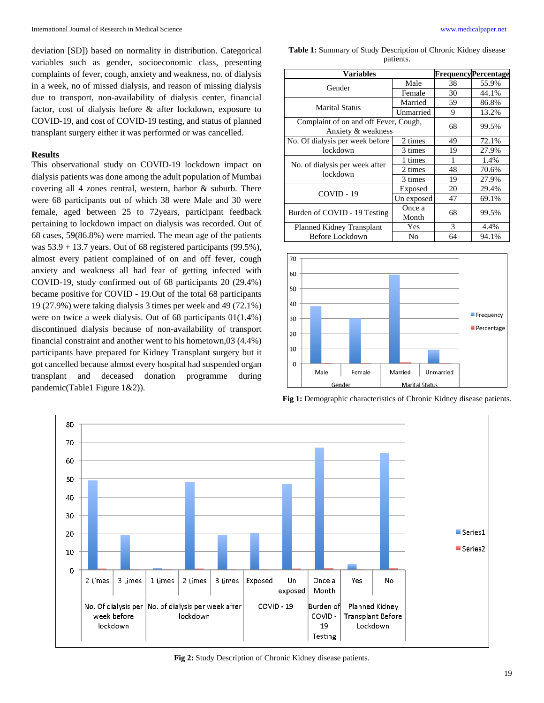deviation [SD]) based on normality in distribution. Categorical variables such as gender, socioeconomic class, presenting complaints of fever, cough, anxiety and weakness, no. of dialysis in a week, no of missed dialysis, and reason of missing dialysis due to transport, non-availability of dialysis center, financial factor, cost of dialysis before & after lockdown, exposure to COVID-19, and cost of COVID-19 testing, and status of planned transplant surgery either it was performed or was cancelled.

#### **Results**

This observational study on COVID-19 lockdown impact on dialysis patients was done among the adult population of Mumbai covering all 4 zones central, western, harbor & suburb. There were 68 participants out of which 38 were Male and 30 were female, aged between 25 to 72years, participant feedback pertaining to lockdown impact on dialysis was recorded. Out of 68 cases, 59(86.8%) were married. The mean age of the patients was 53.9 + 13.7 years. Out of 68 registered participants (99.5%), almost every patient complained of on and off fever, cough anxiety and weakness all had fear of getting infected with COVID-19, study confirmed out of 68 participants 20 (29.4%) became positive for COVID - 19.Out of the total 68 participants 19 (27.9%) were taking dialysis 3 times per week and 49 (72.1%) were on twice a week dialysis. Out of 68 participants 01(1.4%) discontinued dialysis because of non-availability of transport financial constraint and another went to his hometown,03 (4.4%) participants have prepared for Kidney Transplant surgery but it got cancelled because almost every hospital had suspended organ transplant and deceased donation programme during pandemic(Table1 Figure 1&2)).

**Table 1:** Summary of Study Description of Chronic Kidney disease patients.

| <b>Variables</b>                                            |                 |    | <b>FrequencyPercentage</b> |
|-------------------------------------------------------------|-----------------|----|----------------------------|
| Gender                                                      | Male            | 38 | 55.9%                      |
|                                                             | Female          | 30 | 44.1%                      |
| <b>Marital Status</b>                                       | Married         | 59 | 86.8%                      |
|                                                             | Unmarried       | 9  | 13.2%                      |
| Complaint of on and off Fever, Cough,<br>Anxiety & weakness |                 | 68 | 99.5%                      |
| No. Of dialysis per week before<br>lockdown                 | 2 times         | 49 | 72.1%                      |
|                                                             | 3 times         | 19 | 27.9%                      |
| No. of dialysis per week after<br>lockdown                  | 1 times         | 1  | 1.4%                       |
|                                                             | 2 times         | 48 | 70.6%                      |
|                                                             | 3 times         | 19 | 27.9%                      |
| $COVID - 19$                                                | Exposed         | 20 | 29.4%                      |
|                                                             | Un exposed      | 47 | 69.1%                      |
| Burden of COVID - 19 Testing                                | Once a<br>Month | 68 | 99.5%                      |
| Planned Kidney Transplant                                   | Yes             | 3  | 4.4%                       |
| Before Lockdown                                             | No              | 64 | 94.1%                      |







**Fig 2:** Study Description of Chronic Kidney disease patients.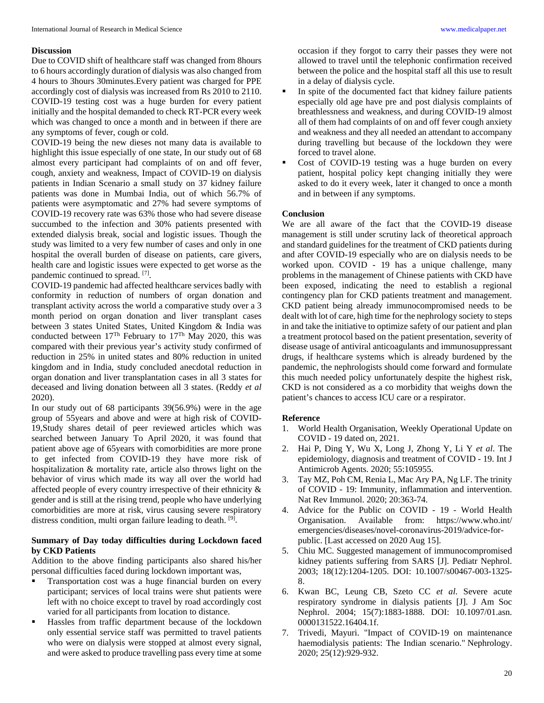#### **Discussion**

Due to COVID shift of healthcare staff was changed from 8hours to 6 hours accordingly duration of dialysis was also changed from 4 hours to 3hours 30minutes.Every patient was charged for PPE accordingly cost of dialysis was increased from Rs 2010 to 2110. COVID-19 testing cost was a huge burden for every patient initially and the hospital demanded to check RT-PCR every week which was changed to once a month and in between if there are any symptoms of fever, cough or cold.

COVID-19 being the new dieses not many data is available to highlight this issue especially of one state, In our study out of 68 almost every participant had complaints of on and off fever, cough, anxiety and weakness, Impact of COVID-19 on dialysis patients in Indian Scenario a small study on 37 kidney failure patients was done in Mumbai India, out of which 56.7% of patients were asymptomatic and 27% had severe symptoms of COVID-19 recovery rate was 63% those who had severe disease succumbed to the infection and 30% patients presented with extended dialysis break, social and logistic issues. Though the study was limited to a very few number of cases and only in one hospital the overall burden of disease on patients, care givers, health care and logistic issues were expected to get worse as the pandemic continued to spread. [7].

COVID-19 pandemic had affected healthcare services badly with conformity in reduction of numbers of organ donation and transplant activity across the world a comparative study over a 3 month period on organ donation and liver transplant cases between 3 states United States, United Kingdom & India was conducted between 17Th February to 17Th May 2020, this was compared with their previous year's activity study confirmed of reduction in 25% in united states and 80% reduction in united kingdom and in India, study concluded anecdotal reduction in organ donation and liver transplantation cases in all 3 states for deceased and living donation between all 3 states. (Reddy *et al* 2020).

In our study out of 68 participants 39(56.9%) were in the age group of 55years and above and were at high risk of COVID-19,Study shares detail of peer reviewed articles which was searched between January To April 2020, it was found that patient above age of 65years with comorbidities are more prone to get infected from COVID-19 they have more risk of hospitalization & mortality rate, article also throws light on the behavior of virus which made its way all over the world had affected people of every country irrespective of their ethnicity & gender and is still at the rising trend, people who have underlying comorbidities are more at risk, virus causing severe respiratory distress condition, multi organ failure leading to death. [9].

#### **Summary of Day today difficulties during Lockdown faced by CKD Patients**

Addition to the above finding participants also shared his/her personal difficulties faced during lockdown important was,

- Transportation cost was a huge financial burden on every participant; services of local trains were shut patients were left with no choice except to travel by road accordingly cost varied for all participants from location to distance.
- Hassles from traffic department because of the lockdown only essential service staff was permitted to travel patients who were on dialysis were stopped at almost every signal, and were asked to produce travelling pass every time at some

occasion if they forgot to carry their passes they were not allowed to travel until the telephonic confirmation received between the police and the hospital staff all this use to result in a delay of dialysis cycle.

- In spite of the documented fact that kidney failure patients especially old age have pre and post dialysis complaints of breathlessness and weakness, and during COVID-19 almost all of them had complaints of on and off fever cough anxiety and weakness and they all needed an attendant to accompany during travelling but because of the lockdown they were forced to travel alone.
- Cost of COVID-19 testing was a huge burden on every patient, hospital policy kept changing initially they were asked to do it every week, later it changed to once a month and in between if any symptoms.

#### **Conclusion**

We are all aware of the fact that the COVID-19 disease management is still under scrutiny lack of theoretical approach and standard guidelines for the treatment of CKD patients during and after COVID-19 especially who are on dialysis needs to be worked upon. COVID - 19 has a unique challenge, many problems in the management of Chinese patients with CKD have been exposed, indicating the need to establish a regional contingency plan for CKD patients treatment and management. CKD patient being already immunocompromised needs to be dealt with lot of care, high time for the nephrology society to steps in and take the initiative to optimize safety of our patient and plan a treatment protocol based on the patient presentation, severity of disease usage of antiviral anticoagulants and immunosuppressant drugs, if healthcare systems which is already burdened by the pandemic, the nephrologists should come forward and formulate this much needed policy unfortunately despite the highest risk, CKD is not considered as a co morbidity that weighs down the patient's chances to access ICU care or a respirator.

#### **Reference**

- 1. World Health Organisation, Weekly Operational Update on COVID - 19 dated on, 2021.
- 2. Hai P, Ding Y, Wu X, Long J, Zhong Y, Li Y *et al*. The epidemiology, diagnosis and treatment of COVID - 19. Int J Antimicrob Agents. 2020; 55:105955.
- 3. Tay MZ, Poh CM, Renia L, Mac Ary PA, Ng LF. The trinity of COVID - 19: Immunity, inflammation and intervention. Nat Rev Immunol. 2020; 20:363-74.
- 4. Advice for the Public on COVID 19 World Health Organisation. Available from: https://www.who.int/ emergencies/diseases/novel-coronavirus-2019/advice-forpublic. [Last accessed on 2020 Aug 15].
- 5. Chiu MC. Suggested management of immunocompromised kidney patients suffering from SARS [J]. Pediatr Nephrol. 2003; 18(12):1204-1205. DOI: 10.1007/s00467-003-1325- 8.
- 6. Kwan BC, Leung CB, Szeto CC *et al*. Severe acute respiratory syndrome in dialysis patients [J]. J Am Soc Nephrol. 2004; 15(7):1883-1888. DOI: 10.1097/01.asn. 0000131522.16404.1f.
- 7. Trivedi, Mayuri. "Impact of COVID‐19 on maintenance haemodialysis patients: The Indian scenario." Nephrology. 2020; 25(12):929-932.